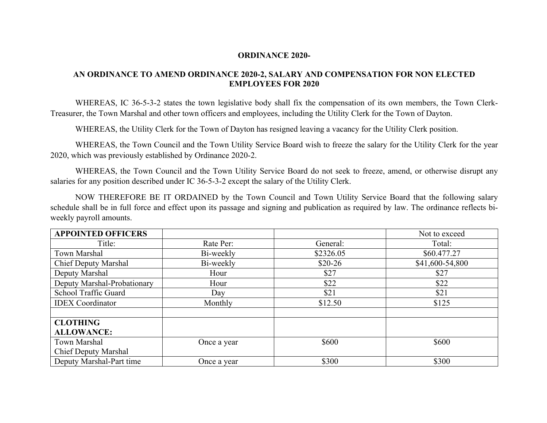## **ORDINANCE 2020-**

## **AN ORDINANCE TO AMEND ORDINANCE 2020-2, SALARY AND COMPENSATION FOR NON ELECTED EMPLOYEES FOR 2020**

WHEREAS, IC 36-5-3-2 states the town legislative body shall fix the compensation of its own members, the Town Clerk-Treasurer, the Town Marshal and other town officers and employees, including the Utility Clerk for the Town of Dayton.

WHEREAS, the Utility Clerk for the Town of Dayton has resigned leaving a vacancy for the Utility Clerk position.

WHEREAS, the Town Council and the Town Utility Service Board wish to freeze the salary for the Utility Clerk for the year 2020, which was previously established by Ordinance 2020-2.

WHEREAS, the Town Council and the Town Utility Service Board do not seek to freeze, amend, or otherwise disrupt any salaries for any position described under IC 36-5-3-2 except the salary of the Utility Clerk.

NOW THEREFORE BE IT ORDAINED by the Town Council and Town Utility Service Board that the following salary schedule shall be in full force and effect upon its passage and signing and publication as required by law. The ordinance reflects biweekly payroll amounts.

| <b>APPOINTED OFFICERS</b>   |             |                          | Not to exceed   |
|-----------------------------|-------------|--------------------------|-----------------|
| Title:                      | Rate Per:   | General:                 | Total:          |
| Town Marshal                | Bi-weekly   | \$2326.05<br>\$60.477.27 |                 |
| <b>Chief Deputy Marshal</b> | Bi-weekly   | $$20-26$                 | \$41,600-54,800 |
| Deputy Marshal              | Hour        | \$27                     | \$27            |
| Deputy Marshal-Probationary | Hour        | \$22                     | \$22            |
| School Traffic Guard        | Day         | \$21                     | \$21            |
| <b>IDEX</b> Coordinator     | Monthly     | \$12.50                  | \$125           |
|                             |             |                          |                 |
| <b>CLOTHING</b>             |             |                          |                 |
| <b>ALLOWANCE:</b>           |             |                          |                 |
| Town Marshal                | Once a year | \$600                    | \$600           |
| <b>Chief Deputy Marshal</b> |             |                          |                 |
| Deputy Marshal-Part time    | Once a year | \$300                    | \$300           |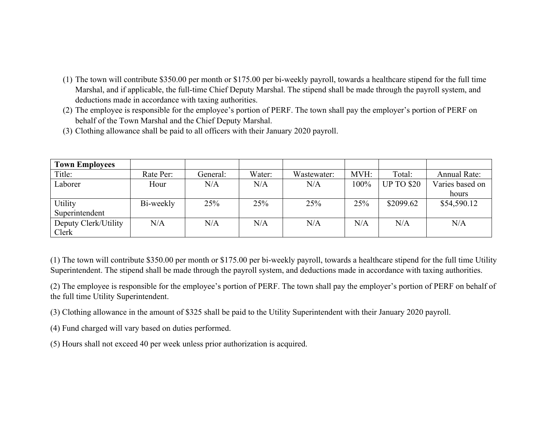- (1) The town will contribute \$350.00 per month or \$175.00 per bi-weekly payroll, towards a healthcare stipend for the full time Marshal, and if applicable, the full-time Chief Deputy Marshal. The stipend shall be made through the payroll system, and deductions made in accordance with taxing authorities.
- (2) The employee is responsible for the employee's portion of PERF. The town shall pay the employer's portion of PERF on behalf of the Town Marshal and the Chief Deputy Marshal.
- (3) Clothing allowance shall be paid to all officers with their January 2020 payroll.

| <b>Town Employees</b> |           |          |        |             |      |                   |                     |
|-----------------------|-----------|----------|--------|-------------|------|-------------------|---------------------|
| Title:                | Rate Per: | General: | Water: | Wastewater: | MVH: | Total:            | <b>Annual Rate:</b> |
| Laborer               | Hour      | N/A      | N/A    | N/A         | 100% | <b>UP TO \$20</b> | Varies based on     |
|                       |           |          |        |             |      |                   | hours               |
| Utility               | Bi-weekly | 25%      | 25%    | 25%         | 25%  | \$2099.62         | \$54,590.12         |
| Superintendent        |           |          |        |             |      |                   |                     |
| Deputy Clerk/Utility  | N/A       | N/A      | N/A    | N/A         | N/A  | N/A               | N/A                 |
| Clerk                 |           |          |        |             |      |                   |                     |

(1) The town will contribute \$350.00 per month or \$175.00 per bi-weekly payroll, towards a healthcare stipend for the full time Utility Superintendent. The stipend shall be made through the payroll system, and deductions made in accordance with taxing authorities.

(2) The employee is responsible for the employee's portion of PERF. The town shall pay the employer's portion of PERF on behalf of the full time Utility Superintendent.

(3) Clothing allowance in the amount of \$325 shall be paid to the Utility Superintendent with their January 2020 payroll.

(4) Fund charged will vary based on duties performed.

(5) Hours shall not exceed 40 per week unless prior authorization is acquired.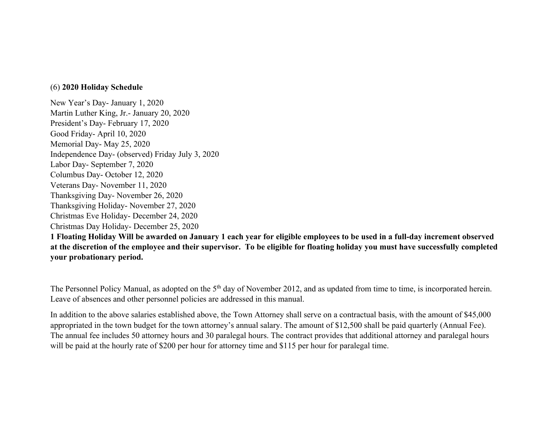## (6) **2020 Holiday Schedule**

New Year's Day- January 1, 2020 Martin Luther King, Jr.- January 20, 2020 President's Day- February 17, 2020 Good Friday- April 10, 2020 Memorial Day- May 25, 2020 Independence Day- (observed) Friday July 3, 2020 Labor Day- September 7, 2020 Columbus Day- October 12, 2020 Veterans Day- November 11, 2020 Thanksgiving Day- November 26, 2020 Thanksgiving Holiday- November 27, 2020 Christmas Eve Holiday- December 24, 2020 Christmas Day Holiday- December 25, 2020

**1 Floating Holiday Will be awarded on January 1 each year for eligible employees to be used in a full-day increment observed at the discretion of the employee and their supervisor. To be eligible for floating holiday you must have successfully completed your probationary period.**

The Personnel Policy Manual, as adopted on the 5<sup>th</sup> day of November 2012, and as updated from time to time, is incorporated herein. Leave of absences and other personnel policies are addressed in this manual.

In addition to the above salaries established above, the Town Attorney shall serve on a contractual basis, with the amount of \$45,000 appropriated in the town budget for the town attorney's annual salary. The amount of \$12,500 shall be paid quarterly (Annual Fee). The annual fee includes 50 attorney hours and 30 paralegal hours. The contract provides that additional attorney and paralegal hours will be paid at the hourly rate of \$200 per hour for attorney time and \$115 per hour for paralegal time.